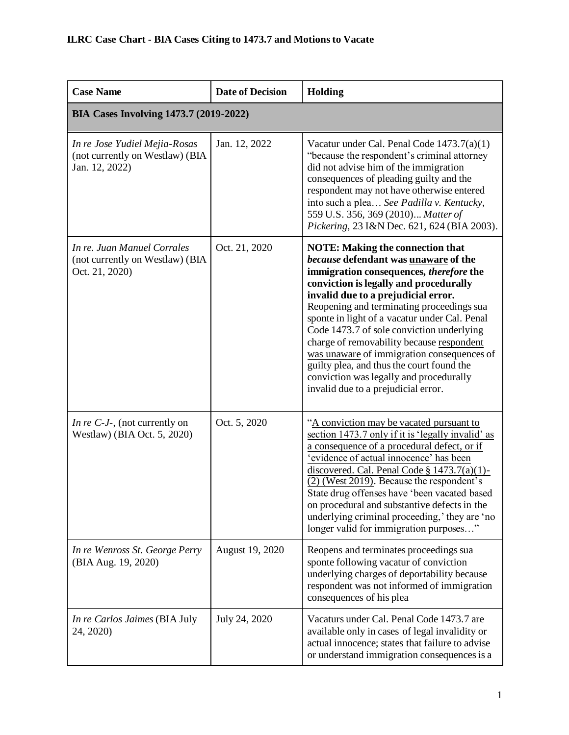| <b>Case Name</b>                                                                   | <b>Date of Decision</b> | Holding                                                                                                                                                                                                                                                                                                                                                                                                                                                                                                                                                                          |
|------------------------------------------------------------------------------------|-------------------------|----------------------------------------------------------------------------------------------------------------------------------------------------------------------------------------------------------------------------------------------------------------------------------------------------------------------------------------------------------------------------------------------------------------------------------------------------------------------------------------------------------------------------------------------------------------------------------|
| <b>BIA Cases Involving 1473.7 (2019-2022)</b>                                      |                         |                                                                                                                                                                                                                                                                                                                                                                                                                                                                                                                                                                                  |
| In re Jose Yudiel Mejia-Rosas<br>(not currently on Westlaw) (BIA<br>Jan. 12, 2022) | Jan. 12, 2022           | Vacatur under Cal. Penal Code 1473.7(a)(1)<br>"because the respondent's criminal attorney<br>did not advise him of the immigration<br>consequences of pleading guilty and the<br>respondent may not have otherwise entered<br>into such a plea See Padilla v. Kentucky,<br>559 U.S. 356, 369 (2010) Matter of<br>Pickering, 23 I&N Dec. 621, 624 (BIA 2003).                                                                                                                                                                                                                     |
| In re. Juan Manuel Corrales<br>(not currently on Westlaw) (BIA<br>Oct. 21, 2020)   | Oct. 21, 2020           | <b>NOTE: Making the connection that</b><br>because defendant was unaware of the<br>immigration consequences, therefore the<br>conviction is legally and procedurally<br>invalid due to a prejudicial error.<br>Reopening and terminating proceedings sua<br>sponte in light of a vacatur under Cal. Penal<br>Code 1473.7 of sole conviction underlying<br>charge of removability because respondent<br>was unaware of immigration consequences of<br>guilty plea, and thus the court found the<br>conviction was legally and procedurally<br>invalid due to a prejudicial error. |
| <i>In re C-J-</i> , (not currently on<br>Westlaw) (BIA Oct. 5, 2020)               | Oct. 5, 2020            | "A conviction may be vacated pursuant to<br>section 1473.7 only if it is 'legally invalid' as<br>a consequence of a procedural defect, or if<br>'evidence of actual innocence' has been<br>discovered. Cal. Penal Code § $1473.7(a)(1)$ -<br>(2) (West 2019). Because the respondent's<br>State drug offenses have 'been vacated based<br>on procedural and substantive defects in the<br>underlying criminal proceeding,' they are 'no<br>longer valid for immigration purposes"                                                                                                |
| In re Wenross St. George Perry<br>(BIA Aug. 19, 2020)                              | August 19, 2020         | Reopens and terminates proceedings sua<br>sponte following vacatur of conviction<br>underlying charges of deportability because<br>respondent was not informed of immigration<br>consequences of his plea                                                                                                                                                                                                                                                                                                                                                                        |
| In re Carlos Jaimes (BIA July<br>24, 2020)                                         | July 24, 2020           | Vacaturs under Cal. Penal Code 1473.7 are<br>available only in cases of legal invalidity or<br>actual innocence; states that failure to advise<br>or understand immigration consequences is a                                                                                                                                                                                                                                                                                                                                                                                    |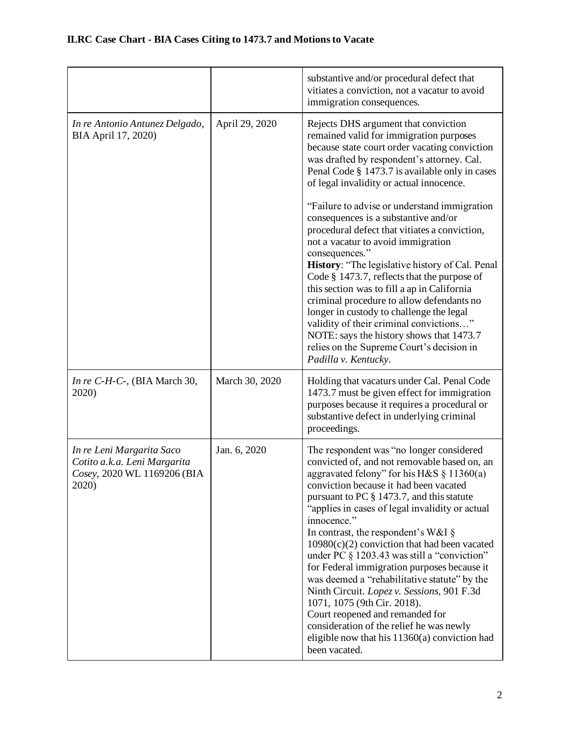|                                                                                                   |                | substantive and/or procedural defect that<br>vitiates a conviction, not a vacatur to avoid<br>immigration consequences.                                                                                                                                                                                                                                                                                                                                                                                                                                                                                                                                                                                                                                                                                                                                                              |
|---------------------------------------------------------------------------------------------------|----------------|--------------------------------------------------------------------------------------------------------------------------------------------------------------------------------------------------------------------------------------------------------------------------------------------------------------------------------------------------------------------------------------------------------------------------------------------------------------------------------------------------------------------------------------------------------------------------------------------------------------------------------------------------------------------------------------------------------------------------------------------------------------------------------------------------------------------------------------------------------------------------------------|
| In re Antonio Antunez Delgado,<br>BIA April 17, 2020)                                             | April 29, 2020 | Rejects DHS argument that conviction<br>remained valid for immigration purposes<br>because state court order vacating conviction<br>was drafted by respondent's attorney. Cal.<br>Penal Code § 1473.7 is available only in cases<br>of legal invalidity or actual innocence.<br>"Failure to advise or understand immigration"<br>consequences is a substantive and/or<br>procedural defect that vitiates a conviction,<br>not a vacatur to avoid immigration<br>consequences."<br>History: "The legislative history of Cal. Penal<br>Code § 1473.7, reflects that the purpose of<br>this section was to fill a ap in California<br>criminal procedure to allow defendants no<br>longer in custody to challenge the legal<br>validity of their criminal convictions"<br>NOTE: says the history shows that 1473.7<br>relies on the Supreme Court's decision in<br>Padilla v. Kentucky. |
| In re $C$ -H-C-, (BIA March 30,<br>2020)                                                          | March 30, 2020 | Holding that vacaturs under Cal. Penal Code<br>1473.7 must be given effect for immigration<br>purposes because it requires a procedural or<br>substantive defect in underlying criminal<br>proceedings.                                                                                                                                                                                                                                                                                                                                                                                                                                                                                                                                                                                                                                                                              |
| In re Leni Margarita Saco<br>Cotito a.k.a. Leni Margarita<br>Cosey, 2020 WL 1169206 (BIA<br>2020) | Jan. 6, 2020   | The respondent was "no longer considered<br>convicted of, and not removable based on, an<br>aggravated felony" for his H&S $\S 11360(a)$<br>conviction because it had been vacated<br>pursuant to PC § 1473.7, and this statute<br>"applies in cases of legal invalidity or actual<br>innocence."<br>In contrast, the respondent's W&I $\S$<br>$10980(c)(2)$ conviction that had been vacated<br>under PC $\S$ 1203.43 was still a "conviction"<br>for Federal immigration purposes because it<br>was deemed a "rehabilitative statute" by the<br>Ninth Circuit. Lopez v. Sessions, 901 F.3d<br>1071, 1075 (9th Cir. 2018).<br>Court reopened and remanded for<br>consideration of the relief he was newly<br>eligible now that his 11360(a) conviction had<br>been vacated.                                                                                                         |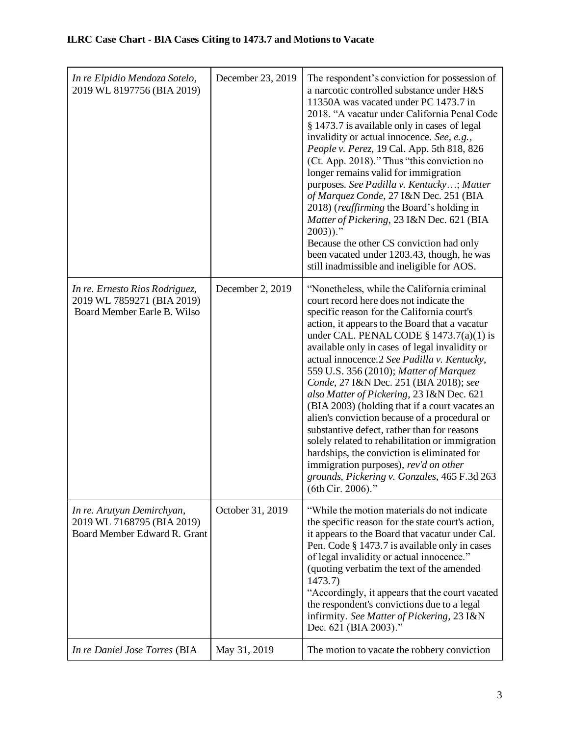| In re Elpidio Mendoza Sotelo,<br>2019 WL 8197756 (BIA 2019)                                 | December 23, 2019 | The respondent's conviction for possession of<br>a narcotic controlled substance under H&S<br>11350A was vacated under PC 1473.7 in<br>2018. "A vacatur under California Penal Code<br>§ 1473.7 is available only in cases of legal<br>invalidity or actual innocence. See, e.g.,<br>People v. Perez, 19 Cal. App. 5th 818, 826<br>(Ct. App. 2018)." Thus "this conviction no<br>longer remains valid for immigration<br>purposes. See Padilla v. Kentucky; Matter<br>of Marquez Conde, 27 I&N Dec. 251 (BIA<br>2018) (reaffirming the Board's holding in<br>Matter of Pickering, 23 I&N Dec. 621 (BIA<br>$2003)$ ."<br>Because the other CS conviction had only<br>been vacated under 1203.43, though, he was<br>still inadmissible and ineligible for AOS.                                                                             |
|---------------------------------------------------------------------------------------------|-------------------|------------------------------------------------------------------------------------------------------------------------------------------------------------------------------------------------------------------------------------------------------------------------------------------------------------------------------------------------------------------------------------------------------------------------------------------------------------------------------------------------------------------------------------------------------------------------------------------------------------------------------------------------------------------------------------------------------------------------------------------------------------------------------------------------------------------------------------------|
| In re. Ernesto Rios Rodriguez,<br>2019 WL 7859271 (BIA 2019)<br>Board Member Earle B. Wilso | December 2, 2019  | "Nonetheless, while the California criminal<br>court record here does not indicate the<br>specific reason for the California court's<br>action, it appears to the Board that a vacatur<br>under CAL. PENAL CODE $\S$ 1473.7(a)(1) is<br>available only in cases of legal invalidity or<br>actual innocence.2 See Padilla v. Kentucky,<br>559 U.S. 356 (2010); Matter of Marquez<br>Conde, 27 I&N Dec. 251 (BIA 2018); see<br>also Matter of Pickering, 23 I&N Dec. 621<br>(BIA 2003) (holding that if a court vacates an<br>alien's conviction because of a procedural or<br>substantive defect, rather than for reasons<br>solely related to rehabilitation or immigration<br>hardships, the conviction is eliminated for<br>immigration purposes), rev'd on other<br>grounds, Pickering v. Gonzales, 465 F.3d 263<br>(6th Cir. 2006)." |
| In re. Arutyun Demirchyan,<br>2019 WL 7168795 (BIA 2019)<br>Board Member Edward R. Grant    | October 31, 2019  | "While the motion materials do not indicate"<br>the specific reason for the state court's action,<br>it appears to the Board that vacatur under Cal.<br>Pen. Code § 1473.7 is available only in cases<br>of legal invalidity or actual innocence."<br>(quoting verbatim the text of the amended<br>1473.7)<br>"Accordingly, it appears that the court vacated<br>the respondent's convictions due to a legal<br>infirmity. See Matter of Pickering, 23 I&N<br>Dec. 621 (BIA 2003)."                                                                                                                                                                                                                                                                                                                                                      |
| In re Daniel Jose Torres (BIA                                                               | May 31, 2019      | The motion to vacate the robbery conviction                                                                                                                                                                                                                                                                                                                                                                                                                                                                                                                                                                                                                                                                                                                                                                                              |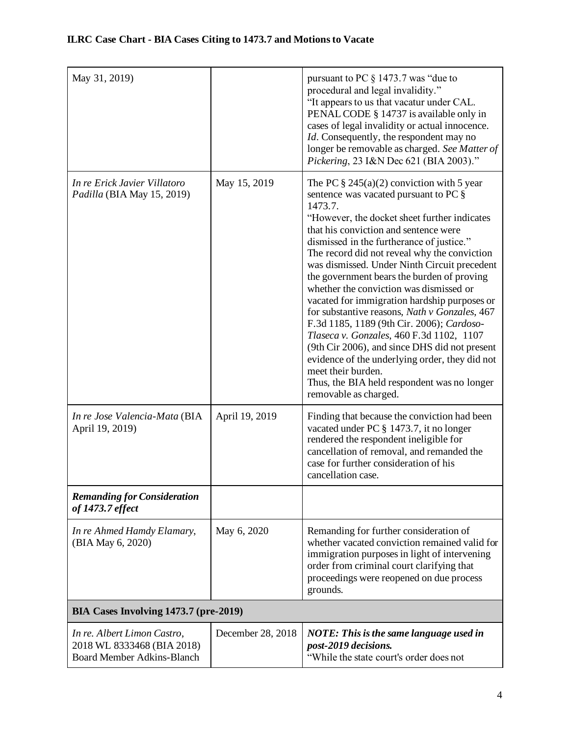| May 31, 2019)                                                                                  |                   | pursuant to PC § 1473.7 was "due to<br>procedural and legal invalidity."<br>"It appears to us that vacatur under CAL.<br>PENAL CODE § 14737 is available only in<br>cases of legal invalidity or actual innocence.<br><i>Id.</i> Consequently, the respondent may no<br>longer be removable as charged. See Matter of<br>Pickering, 23 I&N Dec 621 (BIA 2003)."                                                                                                                                                                                                                                                                                                                                                                                                                                                            |
|------------------------------------------------------------------------------------------------|-------------------|----------------------------------------------------------------------------------------------------------------------------------------------------------------------------------------------------------------------------------------------------------------------------------------------------------------------------------------------------------------------------------------------------------------------------------------------------------------------------------------------------------------------------------------------------------------------------------------------------------------------------------------------------------------------------------------------------------------------------------------------------------------------------------------------------------------------------|
| In re Erick Javier Villatoro<br>Padilla (BIA May 15, 2019)                                     | May 15, 2019      | The PC $\S 245(a)(2)$ conviction with 5 year<br>sentence was vacated pursuant to PC §<br>1473.7.<br>"However, the docket sheet further indicates<br>that his conviction and sentence were<br>dismissed in the furtherance of justice."<br>The record did not reveal why the conviction<br>was dismissed. Under Ninth Circuit precedent<br>the government bears the burden of proving<br>whether the conviction was dismissed or<br>vacated for immigration hardship purposes or<br>for substantive reasons, Nath v Gonzales, 467<br>F.3d 1185, 1189 (9th Cir. 2006); Cardoso-<br>Tlaseca v. Gonzales, 460 F.3d 1102, 1107<br>(9th Cir 2006), and since DHS did not present<br>evidence of the underlying order, they did not<br>meet their burden.<br>Thus, the BIA held respondent was no longer<br>removable as charged. |
| In re Jose Valencia-Mata (BIA<br>April 19, 2019)                                               | April 19, 2019    | Finding that because the conviction had been<br>vacated under PC § 1473.7, it no longer<br>rendered the respondent ineligible for<br>cancellation of removal, and remanded the<br>case for further consideration of his<br>cancellation case.                                                                                                                                                                                                                                                                                                                                                                                                                                                                                                                                                                              |
| <b>Remanding for Consideration</b><br>of 1473.7 effect                                         |                   |                                                                                                                                                                                                                                                                                                                                                                                                                                                                                                                                                                                                                                                                                                                                                                                                                            |
| In re Ahmed Hamdy Elamary,<br>(BIA May 6, 2020)                                                | May 6, 2020       | Remanding for further consideration of<br>whether vacated conviction remained valid for<br>immigration purposes in light of intervening<br>order from criminal court clarifying that<br>proceedings were reopened on due process<br>grounds.                                                                                                                                                                                                                                                                                                                                                                                                                                                                                                                                                                               |
| BIA Cases Involving 1473.7 (pre-2019)                                                          |                   |                                                                                                                                                                                                                                                                                                                                                                                                                                                                                                                                                                                                                                                                                                                                                                                                                            |
| In re. Albert Limon Castro,<br>2018 WL 8333468 (BIA 2018)<br><b>Board Member Adkins-Blanch</b> | December 28, 2018 | <b>NOTE:</b> This is the same language used in<br>post-2019 decisions.<br>"While the state court's order does not                                                                                                                                                                                                                                                                                                                                                                                                                                                                                                                                                                                                                                                                                                          |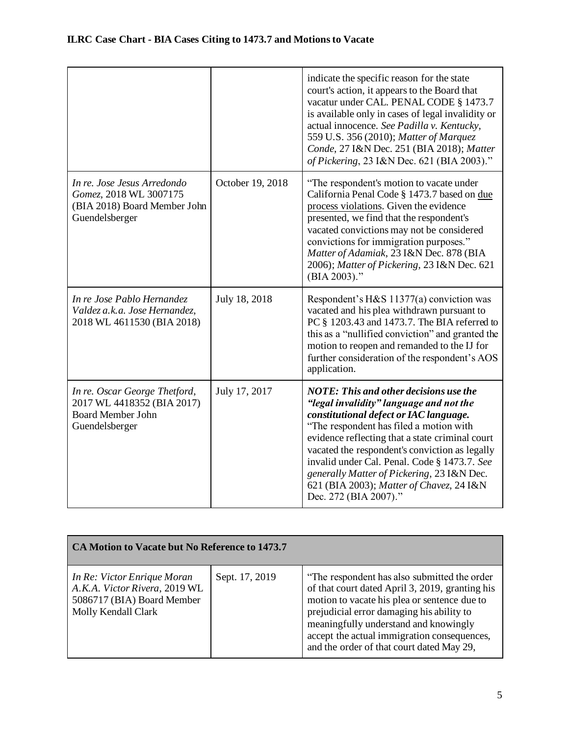|                                                                                                           |                  | indicate the specific reason for the state<br>court's action, it appears to the Board that<br>vacatur under CAL. PENAL CODE § 1473.7<br>is available only in cases of legal invalidity or<br>actual innocence. See Padilla v. Kentucky,<br>559 U.S. 356 (2010); Matter of Marquez<br>Conde, 27 I&N Dec. 251 (BIA 2018); Matter<br>of Pickering, 23 I&N Dec. 621 (BIA 2003)."                                                                          |
|-----------------------------------------------------------------------------------------------------------|------------------|-------------------------------------------------------------------------------------------------------------------------------------------------------------------------------------------------------------------------------------------------------------------------------------------------------------------------------------------------------------------------------------------------------------------------------------------------------|
| In re. Jose Jesus Arredondo<br>Gomez, 2018 WL 3007175<br>(BIA 2018) Board Member John<br>Guendelsberger   | October 19, 2018 | "The respondent's motion to vacate under<br>California Penal Code § 1473.7 based on due<br>process violations. Given the evidence<br>presented, we find that the respondent's<br>vacated convictions may not be considered<br>convictions for immigration purposes."<br>Matter of Adamiak, 23 I&N Dec. 878 (BIA<br>2006); Matter of Pickering, 23 I&N Dec. 621<br>$(BIA 2003).$ "                                                                     |
| In re Jose Pablo Hernandez<br>Valdez a.k.a. Jose Hernandez,<br>2018 WL 4611530 (BIA 2018)                 | July 18, 2018    | Respondent's H&S 11377(a) conviction was<br>vacated and his plea withdrawn pursuant to<br>PC § 1203.43 and 1473.7. The BIA referred to<br>this as a "nullified conviction" and granted the<br>motion to reopen and remanded to the IJ for<br>further consideration of the respondent's AOS<br>application.                                                                                                                                            |
| In re. Oscar George Thetford,<br>2017 WL 4418352 (BIA 2017)<br><b>Board Member John</b><br>Guendelsberger | July 17, 2017    | <b>NOTE: This and other decisions use the</b><br>"legal invalidity" language and not the<br>constitutional defect or IAC language.<br>"The respondent has filed a motion with<br>evidence reflecting that a state criminal court<br>vacated the respondent's conviction as legally<br>invalid under Cal. Penal. Code § 1473.7. See<br>generally Matter of Pickering, 23 I&N Dec.<br>621 (BIA 2003); Matter of Chavez, 24 I&N<br>Dec. 272 (BIA 2007)." |

| CA Motion to Vacate but No Reference to 1473.7                                                                    |                |                                                                                                                                                                                                                                                                                                                                    |
|-------------------------------------------------------------------------------------------------------------------|----------------|------------------------------------------------------------------------------------------------------------------------------------------------------------------------------------------------------------------------------------------------------------------------------------------------------------------------------------|
| In Re: Victor Enrique Moran<br>A.K.A. Victor Rivera, 2019 WL<br>5086717 (BIA) Board Member<br>Molly Kendall Clark | Sept. 17, 2019 | "The respondent has also submitted the order"<br>of that court dated April 3, 2019, granting his<br>motion to vacate his plea or sentence due to<br>prejudicial error damaging his ability to<br>meaningfully understand and knowingly<br>accept the actual immigration consequences,<br>and the order of that court dated May 29, |